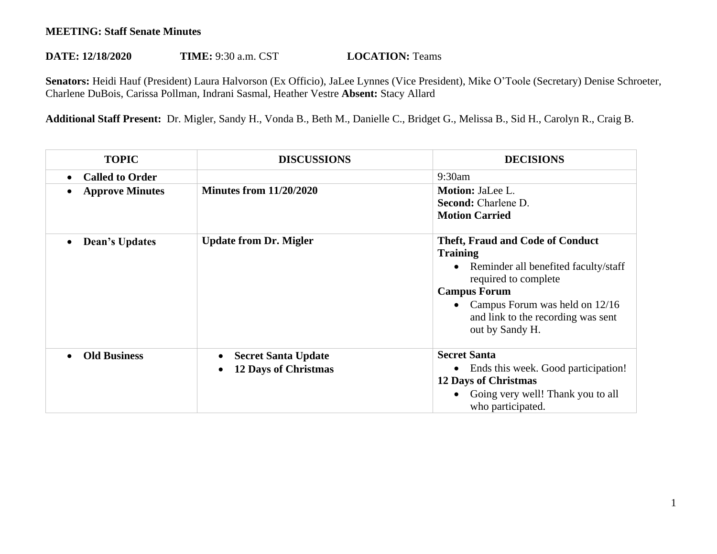## **MEETING: Staff Senate Minutes**

## **DATE: 12/18/2020 TIME:** 9:30 a.m. CST **LOCATION:** Teams

**Senators:** Heidi Hauf (President) Laura Halvorson (Ex Officio), JaLee Lynnes (Vice President), Mike O'Toole (Secretary) Denise Schroeter, Charlene DuBois, Carissa Pollman, Indrani Sasmal, Heather Vestre **Absent:** Stacy Allard

**Additional Staff Present:** Dr. Migler, Sandy H., Vonda B., Beth M., Danielle C., Bridget G., Melissa B., Sid H., Carolyn R., Craig B.

| <b>TOPIC</b>                       | <b>DISCUSSIONS</b>                                        | <b>DECISIONS</b>                                                                                                                                                                                                                                              |
|------------------------------------|-----------------------------------------------------------|---------------------------------------------------------------------------------------------------------------------------------------------------------------------------------------------------------------------------------------------------------------|
| <b>Called to Order</b>             |                                                           | 9:30am                                                                                                                                                                                                                                                        |
| <b>Approve Minutes</b>             | <b>Minutes from 11/20/2020</b>                            | Motion: JaLee L.<br>Second: Charlene D.<br><b>Motion Carried</b>                                                                                                                                                                                              |
| <b>Dean's Updates</b><br>$\bullet$ | <b>Update from Dr. Migler</b>                             | <b>Theft, Fraud and Code of Conduct</b><br><b>Training</b><br>Reminder all benefited faculty/staff<br>$\bullet$<br>required to complete<br><b>Campus Forum</b><br>• Campus Forum was held on $12/16$<br>and link to the recording was sent<br>out by Sandy H. |
| <b>Old Business</b>                | <b>Secret Santa Update</b><br><b>12 Days of Christmas</b> | <b>Secret Santa</b><br>Ends this week. Good participation!<br><b>12 Days of Christmas</b><br>• Going very well! Thank you to all<br>who participated.                                                                                                         |